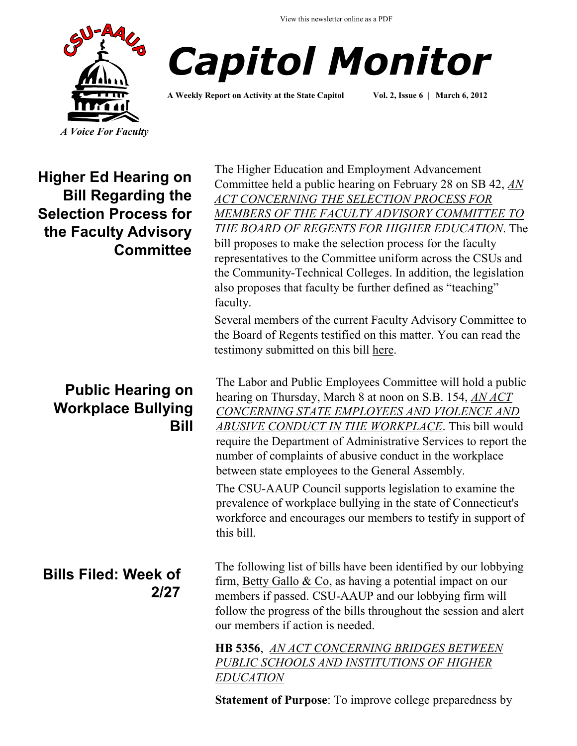View this newsletter online as a PDF





**A Weekly Report on Activity at the State Capitol Vol. 2, Issue 6 | March 6, 2012**

**Higher Ed Hearing on Bill Regarding the Selection Process for the Faculty Advisory Committee**

### **Public Hearing on Workplace Bullying Bill**

# **Bills Filed: Week of 2/27**

The Higher Education and Employment Advancement Committee held a public hearing on February 28 on SB 42, *[AN](http://www.cga.ct.gov/2012/TOB/S/2012SB-00042-R00-SB.htm)  [ACT CONCERNING THE SELECTION PROCESS FOR](http://www.cga.ct.gov/2012/TOB/S/2012SB-00042-R00-SB.htm)  [MEMBERS OF THE FACULTY ADVISORY COMMITTEE TO](http://www.cga.ct.gov/2012/TOB/S/2012SB-00042-R00-SB.htm)  [THE BOARD OF REGENTS FOR HIGHER EDUCATION](http://www.cga.ct.gov/2012/TOB/S/2012SB-00042-R00-SB.htm)*. The bill proposes to make the selection process for the faculty representatives to the Committee uniform across the CSUs and the Community-Technical Colleges. In addition, the legislation also proposes that faculty be further defined as "teaching" faculty.

Several members of the current Faculty Advisory Committee to the Board of Regents testified on this matter. You can read the testimony submitted on this bill [here.](http://www.cga.ct.gov/asp/menu/CommDocTmyBillAllComm.asp?bill=SB-00042&doc_year=2012)

The Labor and Public Employees Committee will hold a public hearing on Thursday, March 8 at noon on S.B. 154, *[AN ACT](http://www.cga.ct.gov/2012/TOB/S/2012SB-00154-R00-SB.htm)  [CONCERNING STATE EMPLOYEES AND VIOLENCE AND](http://www.cga.ct.gov/2012/TOB/S/2012SB-00154-R00-SB.htm)  [ABUSIVE CONDUCT IN THE WORKPLACE](http://www.cga.ct.gov/2012/TOB/S/2012SB-00154-R00-SB.htm)*. This bill would require the Department of Administrative Services to report the number of complaints of abusive conduct in the workplace between state employees to the General Assembly. The CSU-AAUP Council supports legislation to examine the prevalence of workplace bullying in the state of Connecticut's

workforce and encourages our members to testify in support of this bill.

The following list of bills have been identified by our lobbying firm, [Betty Gallo & Co,](http://www.bettygallo.com/) as having a potential impact on our members if passed. CSU-AAUP and our lobbying firm will follow the progress of the bills throughout the session and alert our members if action is needed.

**HB 5356**, *[AN ACT CONCERNING BRIDGES BETWEEN](http://www.cga.ct.gov/asp/cgabillstatus/cgabillstatus.asp?selBillType=Bill&bill_num=5356&which_year=2012&SUBMIT1.x=0&SUBMIT1.y=0)  [PUBLIC SCHOOLS AND INSTITUTIONS OF HIGHER](http://www.cga.ct.gov/asp/cgabillstatus/cgabillstatus.asp?selBillType=Bill&bill_num=5356&which_year=2012&SUBMIT1.x=0&SUBMIT1.y=0)  [EDUCATION](http://www.cga.ct.gov/asp/cgabillstatus/cgabillstatus.asp?selBillType=Bill&bill_num=5356&which_year=2012&SUBMIT1.x=0&SUBMIT1.y=0)*

**Statement of Purpose**: To improve college preparedness by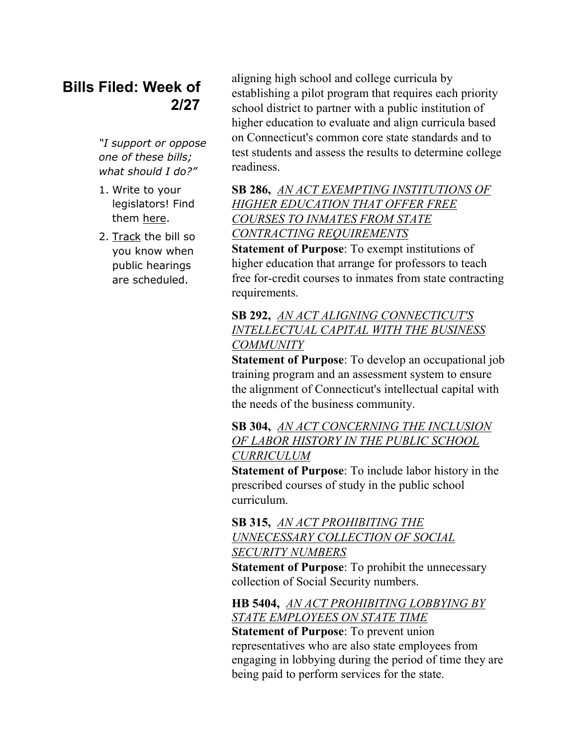# **Bills Filed: Week of 2/27**

*"I support or oppose one of these bills; what should I do?"*

- 1. Write to your legislators! Find them [here.](http://www.congressweb.com/cweb4/index.cfm?orgcode=BGAUP)
- 2. [Track](http://www.cga.ct.gov/aspx/CGAPublicBillTrack/Register.aspx) the bill so you know when public hearings are scheduled.

aligning high school and college curricula by establishing a pilot program that requires each priority school district to partner with a public institution of higher education to evaluate and align curricula based on Connecticut's common core state standards and to test students and assess the results to determine college readiness.

### **SB 286,** *[AN ACT EXEMPTING INSTITUTIONS OF](http://www.cga.ct.gov/asp/cgabillstatus/cgabillstatus.asp?selBillType=Bill&bill_num=286&which_year=2012&SUBMIT1.x=0&SUBMIT1.y=0)  [HIGHER EDUCATION THAT OFFER FREE](http://www.cga.ct.gov/asp/cgabillstatus/cgabillstatus.asp?selBillType=Bill&bill_num=286&which_year=2012&SUBMIT1.x=0&SUBMIT1.y=0)  [COURSES TO INMATES FROM STATE](http://www.cga.ct.gov/asp/cgabillstatus/cgabillstatus.asp?selBillType=Bill&bill_num=286&which_year=2012&SUBMIT1.x=0&SUBMIT1.y=0)  [CONTRACTING REQUIREMENTS](http://www.cga.ct.gov/asp/cgabillstatus/cgabillstatus.asp?selBillType=Bill&bill_num=286&which_year=2012&SUBMIT1.x=0&SUBMIT1.y=0)*

**Statement of Purpose**: To exempt institutions of higher education that arrange for professors to teach free for-credit courses to inmates from state contracting requirements.

#### **SB 292,** *[AN ACT ALIGNING CONNECTICUT'S](http://www.cga.ct.gov/asp/cgabillstatus/cgabillstatus.asp?selBillType=Bill&bill_num=292&which_year=2012&SUBMIT1.x=0&SUBMIT1.y=0)  [INTELLECTUAL CAPITAL WITH THE BUSINESS](http://www.cga.ct.gov/asp/cgabillstatus/cgabillstatus.asp?selBillType=Bill&bill_num=292&which_year=2012&SUBMIT1.x=0&SUBMIT1.y=0)  [COMMUNITY](http://www.cga.ct.gov/asp/cgabillstatus/cgabillstatus.asp?selBillType=Bill&bill_num=292&which_year=2012&SUBMIT1.x=0&SUBMIT1.y=0)*

**Statement of Purpose**: To develop an occupational job training program and an assessment system to ensure the alignment of Connecticut's intellectual capital with the needs of the business community.

**SB 304,** *[AN ACT CONCERNING THE INCLUSION](http://www.cga.ct.gov/asp/cgabillstatus/cgabillstatus.asp?selBillType=Bill&bill_num=304&which_year=2012&SUBMIT1.x=0&SUBMIT1.y=0)  [OF LABOR HISTORY IN THE PUBLIC SCHOOL](http://www.cga.ct.gov/asp/cgabillstatus/cgabillstatus.asp?selBillType=Bill&bill_num=304&which_year=2012&SUBMIT1.x=0&SUBMIT1.y=0)  [CURRICULUM](http://www.cga.ct.gov/asp/cgabillstatus/cgabillstatus.asp?selBillType=Bill&bill_num=304&which_year=2012&SUBMIT1.x=0&SUBMIT1.y=0)*

**Statement of Purpose**: To include labor history in the prescribed courses of study in the public school curriculum.

**SB 315,** *[AN ACT PROHIBITING THE](http://www.cga.ct.gov/asp/cgabillstatus/cgabillstatus.asp?selBillType=Bill&bill_num=315&which_year=2012&SUBMIT1.x=0&SUBMIT1.y=0)  [UNNECESSARY COLLECTION OF SOCIAL](http://www.cga.ct.gov/asp/cgabillstatus/cgabillstatus.asp?selBillType=Bill&bill_num=315&which_year=2012&SUBMIT1.x=0&SUBMIT1.y=0)  [SECURITY NUMBERS](http://www.cga.ct.gov/asp/cgabillstatus/cgabillstatus.asp?selBillType=Bill&bill_num=315&which_year=2012&SUBMIT1.x=0&SUBMIT1.y=0)*

**Statement of Purpose**: To prohibit the unnecessary collection of Social Security numbers.

#### **HB 5404,** *[AN ACT PROHIBITING LOBBYING BY](http://www.cga.ct.gov/asp/cgabillstatus/cgabillstatus.asp?selBillType=Bill&bill_num=5403&which_year=2012&SUBMIT1.x=0&SUBMIT1.y=0)  [STATE EMPLOYEES ON STATE TIME](http://www.cga.ct.gov/asp/cgabillstatus/cgabillstatus.asp?selBillType=Bill&bill_num=5403&which_year=2012&SUBMIT1.x=0&SUBMIT1.y=0)*

**Statement of Purpose**: To prevent union representatives who are also state employees from engaging in lobbying during the period of time they are being paid to perform services for the state.